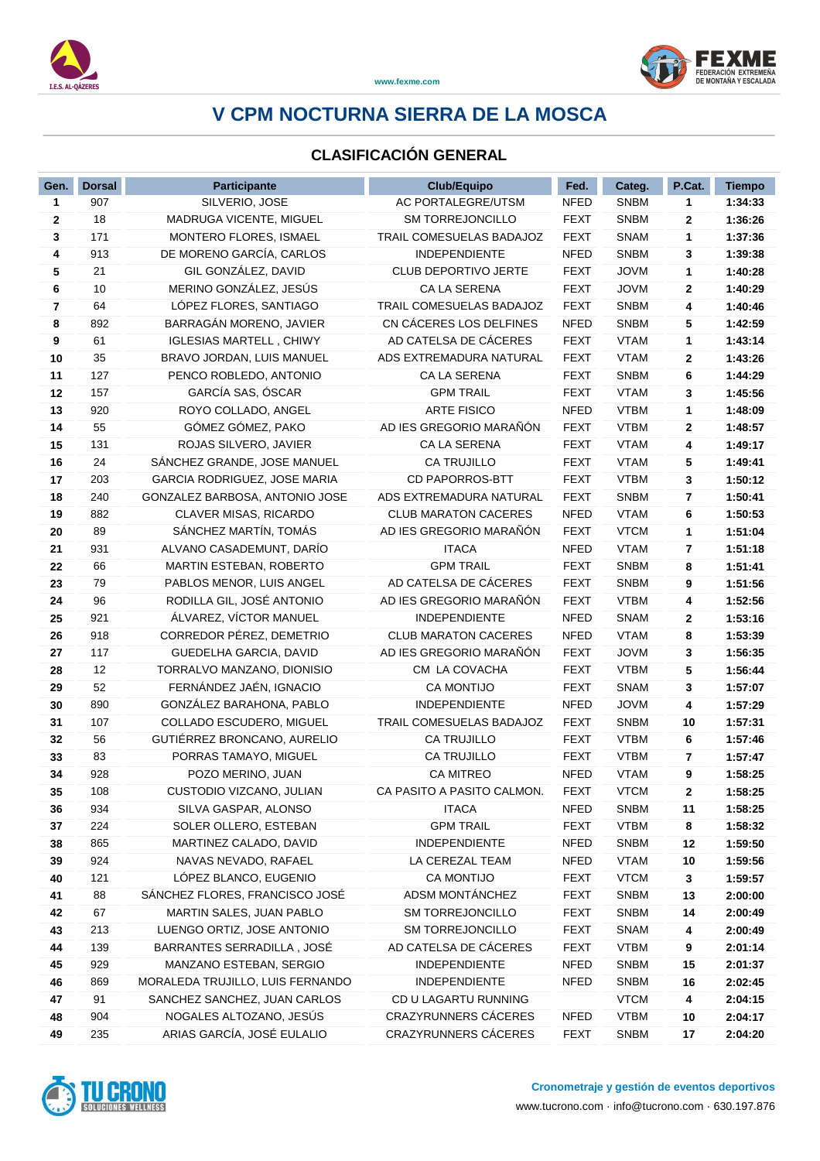

### **CLASIFICACIÓN GENERAL**

| Gen.         | <b>Dorsal</b> | Participante                     | <b>Club/Equipo</b>          | Fed.        | Categ.      | P.Cat. | <b>Tiempo</b> |
|--------------|---------------|----------------------------------|-----------------------------|-------------|-------------|--------|---------------|
| 1            | 907           | SILVERIO, JOSE                   | AC PORTALEGRE/UTSM          | <b>NFED</b> | <b>SNBM</b> | 1      | 1:34:33       |
| $\mathbf{2}$ | 18            | MADRUGA VICENTE, MIGUEL          | <b>SM TORREJONCILLO</b>     | <b>FEXT</b> | <b>SNBM</b> | 2      | 1:36:26       |
| 3            | 171           | MONTERO FLORES, ISMAEL           | TRAIL COMESUELAS BADAJOZ    | <b>FEXT</b> | <b>SNAM</b> | 1      | 1:37:36       |
| 4            | 913           | DE MORENO GARCÍA, CARLOS         | <b>INDEPENDIENTE</b>        | <b>NFED</b> | <b>SNBM</b> | 3      | 1:39:38       |
| 5            | 21            | GIL GONZÁLEZ, DAVID              | CLUB DEPORTIVO JERTE        | <b>FEXT</b> | <b>JOVM</b> | 1      | 1:40:28       |
| 6            | 10            | MERINO GONZÁLEZ, JESÚS           | CA LA SERENA                | <b>FEXT</b> | <b>JOVM</b> | 2      | 1:40:29       |
| 7            | 64            | LÓPEZ FLORES, SANTIAGO           | TRAIL COMESUELAS BADAJOZ    | <b>FEXT</b> | <b>SNBM</b> | 4      | 1:40:46       |
| 8            | 892           | BARRAGÁN MORENO, JAVIER          | CN CÁCERES LOS DELFINES     | <b>NFED</b> | <b>SNBM</b> | 5      | 1:42:59       |
| 9            | 61            | <b>IGLESIAS MARTELL, CHIWY</b>   | AD CATELSA DE CÁCERES       | <b>FEXT</b> | <b>VTAM</b> | 1      | 1:43:14       |
| 10           | 35            | BRAVO JORDAN, LUIS MANUEL        | ADS EXTREMADURA NATURAL     | <b>FEXT</b> | <b>VTAM</b> | 2      | 1:43:26       |
| 11           | 127           | PENCO ROBLEDO, ANTONIO           | CA LA SERENA                | <b>FEXT</b> | <b>SNBM</b> | 6      | 1:44:29       |
| 12           | 157           | GARCÍA SAS, ÓSCAR                | <b>GPM TRAIL</b>            | <b>FEXT</b> | <b>VTAM</b> | 3      | 1:45:56       |
| 13           | 920           | ROYO COLLADO, ANGEL              | <b>ARTE FISICO</b>          | <b>NFED</b> | <b>VTBM</b> | 1      | 1:48:09       |
| 14           | 55            | GÓMEZ GÓMEZ, PAKO                | AD IES GREGORIO MARAÑÓN     | <b>FEXT</b> | <b>VTBM</b> | 2      | 1:48:57       |
| 15           | 131           | ROJAS SILVERO, JAVIER            | CA LA SERENA                | <b>FEXT</b> | <b>VTAM</b> | 4      | 1:49:17       |
| 16           | 24            | SÁNCHEZ GRANDE, JOSE MANUEL      | <b>CA TRUJILLO</b>          | <b>FEXT</b> | <b>VTAM</b> | 5      | 1:49:41       |
| 17           | 203           | GARCIA RODRIGUEZ, JOSE MARIA     | <b>CD PAPORROS-BTT</b>      | <b>FEXT</b> | <b>VTBM</b> | 3      | 1:50:12       |
| 18           | 240           | GONZALEZ BARBOSA, ANTONIO JOSE   | ADS EXTREMADURA NATURAL     | <b>FEXT</b> | <b>SNBM</b> | 7      | 1:50:41       |
| 19           | 882           | CLAVER MISAS, RICARDO            | <b>CLUB MARATON CACERES</b> | <b>NFED</b> | <b>VTAM</b> | 6      | 1:50:53       |
| 20           | 89            | SÁNCHEZ MARTÍN, TOMÁS            | AD IES GREGORIO MARAÑÓN     | <b>FEXT</b> | <b>VTCM</b> | 1      | 1:51:04       |
| 21           | 931           | ALVANO CASADEMUNT, DARÍO         | <b>ITACA</b>                | <b>NFED</b> | <b>VTAM</b> | 7      | 1:51:18       |
| 22           | 66            | MARTIN ESTEBAN, ROBERTO          | <b>GPM TRAIL</b>            | <b>FEXT</b> | <b>SNBM</b> | 8      | 1:51:41       |
| 23           | 79            | PABLOS MENOR, LUIS ANGEL         | AD CATELSA DE CÁCERES       | <b>FEXT</b> | <b>SNBM</b> | 9      | 1:51:56       |
| 24           | 96            | RODILLA GIL, JOSÉ ANTONIO        | AD IES GREGORIO MARAÑÓN     | <b>FEXT</b> | <b>VTBM</b> | 4      | 1:52:56       |
| 25           | 921           | ÁLVAREZ, VÍCTOR MANUEL           | <b>INDEPENDIENTE</b>        | <b>NFED</b> | <b>SNAM</b> | 2      | 1:53:16       |
| 26           | 918           | CORREDOR PÉREZ, DEMETRIO         | <b>CLUB MARATON CACERES</b> | <b>NFED</b> | <b>VTAM</b> | 8      | 1:53:39       |
| 27           | 117           | GUEDELHA GARCIA, DAVID           | AD IES GREGORIO MARAÑÓN     | <b>FEXT</b> | <b>JOVM</b> | 3      | 1:56:35       |
| 28           | 12            | TORRALVO MANZANO, DIONISIO       | CM LA COVACHA               | <b>FEXT</b> | <b>VTBM</b> | 5      | 1:56:44       |
| 29           | 52            | FERNÁNDEZ JAÉN, IGNACIO          | <b>CA MONTIJO</b>           | <b>FEXT</b> | <b>SNAM</b> | 3      | 1:57:07       |
| 30           | 890           | GONZÁLEZ BARAHONA, PABLO         | INDEPENDIENTE               | <b>NFED</b> | <b>JOVM</b> | 4      | 1:57:29       |
| 31           | 107           | COLLADO ESCUDERO, MIGUEL         | TRAIL COMESUELAS BADAJOZ    | <b>FEXT</b> | <b>SNBM</b> | 10     | 1:57:31       |
| 32           | 56            | GUTIÉRREZ BRONCANO, AURELIO      | <b>CA TRUJILLO</b>          | <b>FEXT</b> | <b>VTBM</b> | 6      | 1:57:46       |
| 33           | 83            | PORRAS TAMAYO, MIGUEL            | CA TRUJILLO                 | <b>FEXT</b> | <b>VTBM</b> | 7      | 1:57:47       |
| 34           | 928           | POZO MERINO, JUAN                | <b>CA MITREO</b>            | <b>NFED</b> | <b>VTAM</b> | 9      | 1:58:25       |
| 35           | 108           | CUSTODIO VIZCANO, JULIAN         | CA PASITO A PASITO CALMON.  | <b>FEXT</b> | <b>VTCM</b> | 2      | 1:58:25       |
| 36           | 934           | SILVA GASPAR, ALONSO             | <b>ITACA</b>                | <b>NFED</b> | <b>SNBM</b> | 11     | 1:58:25       |
| 37           | 224           | SOLER OLLERO, ESTEBAN            | <b>GPM TRAIL</b>            | <b>FEXT</b> | <b>VTBM</b> | 8      | 1:58:32       |
| 38           | 865           | MARTINEZ CALADO, DAVID           | INDEPENDIENTE               | <b>NFED</b> | <b>SNBM</b> | 12     | 1:59:50       |
| 39           | 924           | NAVAS NEVADO, RAFAEL             | LA CEREZAL TEAM             | <b>NFED</b> | <b>VTAM</b> | 10     | 1:59:56       |
| 40           | 121           | LÓPEZ BLANCO, EUGENIO            | <b>CA MONTIJO</b>           | <b>FEXT</b> | <b>VTCM</b> | 3      | 1:59:57       |
| 41           | 88            | SÁNCHEZ FLORES, FRANCISCO JOSÉ   | ADSM MONTÁNCHEZ             | <b>FEXT</b> | <b>SNBM</b> | 13     | 2:00:00       |
| 42           | 67            | MARTIN SALES, JUAN PABLO         | SM TORREJONCILLO            | <b>FEXT</b> | <b>SNBM</b> | 14     | 2:00:49       |
| 43           | 213           | LUENGO ORTIZ, JOSE ANTONIO       | <b>SM TORREJONCILLO</b>     | <b>FEXT</b> | <b>SNAM</b> | 4      | 2:00:49       |
| 44           | 139           | BARRANTES SERRADILLA, JOSÉ       | AD CATELSA DE CÁCERES       | <b>FEXT</b> | <b>VTBM</b> | 9      | 2:01:14       |
| 45           | 929           | MANZANO ESTEBAN, SERGIO          | INDEPENDIENTE               | <b>NFED</b> | <b>SNBM</b> | 15     | 2:01:37       |
| 46           | 869           | MORALEDA TRUJILLO, LUIS FERNANDO | INDEPENDIENTE               | <b>NFED</b> | <b>SNBM</b> | 16     | 2:02:45       |
| 47           | 91            | SANCHEZ SANCHEZ, JUAN CARLOS     | CD U LAGARTU RUNNING        |             | <b>VTCM</b> | 4      | 2:04:15       |
| 48           | 904           | NOGALES ALTOZANO, JESÚS          | CRAZYRUNNERS CÁCERES        | NFED        | <b>VTBM</b> | 10     | 2:04:17       |
| 49           | 235           | ARIAS GARCÍA, JOSÉ EULALIO       | CRAZYRUNNERS CÁCERES        | <b>FEXT</b> | <b>SNBM</b> | 17     | 2:04:20       |

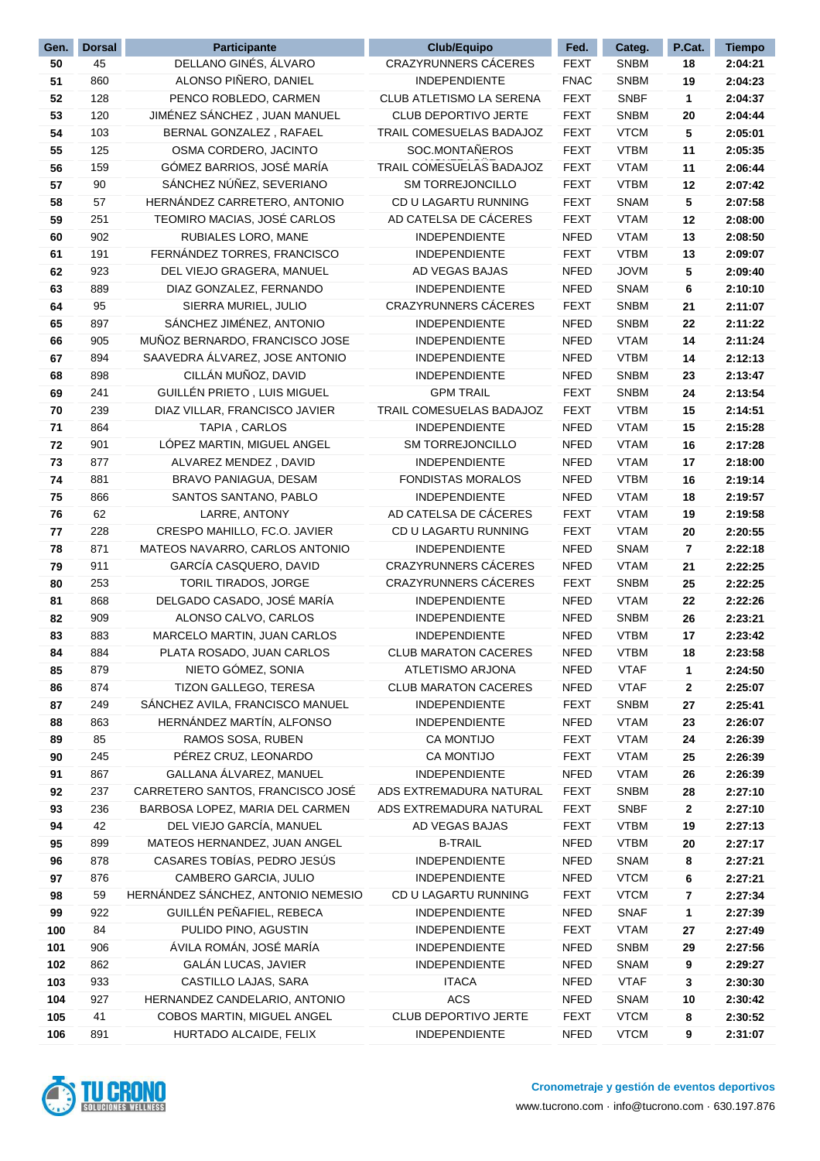| Gen.     | <b>Dorsal</b> | <b>Participante</b>                | Club/Equipo                 | Fed.        | Categ.                     | P.Cat.       | <b>Tiempo</b> |
|----------|---------------|------------------------------------|-----------------------------|-------------|----------------------------|--------------|---------------|
| 50       | 45            | DELLANO GINÉS, ÁLVARO              | CRAZYRUNNERS CÁCERES        | <b>FEXT</b> | <b>SNBM</b>                | 18           | 2:04:21       |
| 51       | 860           | ALONSO PIÑERO, DANIEL              | <b>INDEPENDIENTE</b>        | <b>FNAC</b> | <b>SNBM</b>                | 19           | 2:04:23       |
| 52       | 128           | PENCO ROBLEDO, CARMEN              | CLUB ATLETISMO LA SERENA    | <b>FEXT</b> | <b>SNBF</b>                | 1            | 2:04:37       |
| 53       | 120           | JIMÉNEZ SÁNCHEZ, JUAN MANUEL       | <b>CLUB DEPORTIVO JERTE</b> | <b>FEXT</b> | <b>SNBM</b>                | 20           | 2:04:44       |
| 54       | 103           | BERNAL GONZALEZ, RAFAEL            | TRAIL COMESUELAS BADAJOZ    | <b>FEXT</b> | <b>VTCM</b>                | 5            | 2:05:01       |
| 55       | 125           | OSMA CORDERO, JACINTO              | SOC.MONTAÑEROS              | <b>FEXT</b> | <b>VTBM</b>                | 11           | 2:05:35       |
| 56       | 159           | GÓMEZ BARRIOS, JOSÉ MARÍA          | TRAIL COMESUELAS BADAJOZ    | <b>FEXT</b> | <b>VTAM</b>                | 11           | 2:06:44       |
| 57       | 90            | SÁNCHEZ NÚÑEZ, SEVERIANO           | <b>SM TORREJONCILLO</b>     | <b>FEXT</b> | <b>VTBM</b>                | 12           | 2:07:42       |
| 58       | 57            | HERNÁNDEZ CARRETERO, ANTONIO       | CD U LAGARTU RUNNING        | <b>FEXT</b> | <b>SNAM</b>                | 5            | 2:07:58       |
| 59       | 251           | TEOMIRO MACIAS, JOSÉ CARLOS        | AD CATELSA DE CÁCERES       | <b>FEXT</b> | <b>VTAM</b>                | 12           | 2:08:00       |
| 60       | 902           | RUBIALES LORO, MANE                | <b>INDEPENDIENTE</b>        | <b>NFED</b> | <b>VTAM</b>                | 13           | 2:08:50       |
| 61       | 191           | FERNÁNDEZ TORRES, FRANCISCO        | <b>INDEPENDIENTE</b>        | <b>FEXT</b> | <b>VTBM</b>                | 13           | 2:09:07       |
| 62       | 923           | DEL VIEJO GRAGERA, MANUEL          | AD VEGAS BAJAS              | <b>NFED</b> | <b>JOVM</b>                | 5            | 2:09:40       |
| 63       | 889           | DIAZ GONZALEZ, FERNANDO            | <b>INDEPENDIENTE</b>        | <b>NFED</b> | <b>SNAM</b>                | 6            | 2:10:10       |
| 64       | 95            | SIERRA MURIEL, JULIO               | CRAZYRUNNERS CÁCERES        | <b>FEXT</b> | <b>SNBM</b>                | 21           | 2:11:07       |
| 65       | 897           | SÁNCHEZ JIMÉNEZ, ANTONIO           | <b>INDEPENDIENTE</b>        | <b>NFED</b> | <b>SNBM</b>                | 22           | 2:11:22       |
| 66       | 905           | MUÑOZ BERNARDO, FRANCISCO JOSE     | <b>INDEPENDIENTE</b>        | <b>NFED</b> | <b>VTAM</b>                | 14           | 2:11:24       |
| 67       | 894           | SAAVEDRA ÁLVAREZ, JOSE ANTONIO     | <b>INDEPENDIENTE</b>        | <b>NFED</b> | <b>VTBM</b>                | 14           | 2:12:13       |
| 68       | 898           | CILLÁN MUÑOZ, DAVID                | <b>INDEPENDIENTE</b>        | <b>NFED</b> | <b>SNBM</b>                | 23           | 2:13:47       |
| 69       | 241           | GUILLÉN PRIETO, LUIS MIGUEL        | <b>GPM TRAIL</b>            | <b>FEXT</b> | <b>SNBM</b>                | 24           | 2:13:54       |
| 70       | 239           | DIAZ VILLAR, FRANCISCO JAVIER      | TRAIL COMESUELAS BADAJOZ    | FEXT        | <b>VTBM</b>                | 15           | 2:14:51       |
| 71       | 864           | TAPIA, CARLOS                      | <b>INDEPENDIENTE</b>        | <b>NFED</b> | <b>VTAM</b>                | 15           | 2:15:28       |
| 72       | 901           | LÓPEZ MARTIN, MIGUEL ANGEL         | <b>SM TORREJONCILLO</b>     | <b>NFED</b> | <b>VTAM</b>                | 16           | 2:17:28       |
| 73       | 877           | ALVAREZ MENDEZ, DAVID              | <b>INDEPENDIENTE</b>        | <b>NFED</b> | <b>VTAM</b>                | 17           | 2:18:00       |
| 74       | 881           | BRAVO PANIAGUA, DESAM              | <b>FONDISTAS MORALOS</b>    | <b>NFED</b> | <b>VTBM</b>                | 16           | 2:19:14       |
| 75       | 866           | SANTOS SANTANO, PABLO              | <b>INDEPENDIENTE</b>        | <b>NFED</b> | <b>VTAM</b>                | 18           | 2:19:57       |
| 76       | 62            | LARRE, ANTONY                      | AD CATELSA DE CÁCERES       | <b>FEXT</b> | <b>VTAM</b>                | 19           | 2:19:58       |
| 77       | 228           | CRESPO MAHILLO, FC.O. JAVIER       | CD U LAGARTU RUNNING        | <b>FEXT</b> | <b>VTAM</b>                | 20           | 2:20:55       |
| 78       | 871           | MATEOS NAVARRO, CARLOS ANTONIO     | <b>INDEPENDIENTE</b>        | <b>NFED</b> | <b>SNAM</b>                | 7            | 2:22:18       |
| 79       | 911           | GARCÍA CASQUERO, DAVID             | CRAZYRUNNERS CÁCERES        | <b>NFED</b> | <b>VTAM</b>                | 21           | 2:22:25       |
| 80       | 253           | TORIL TIRADOS, JORGE               | CRAZYRUNNERS CÁCERES        | <b>FEXT</b> | <b>SNBM</b>                | 25           | 2:22:25       |
| 81       | 868           | DELGADO CASADO, JOSÉ MARÍA         | INDEPENDIENTE               | <b>NFED</b> | <b>VTAM</b>                | 22           | 2:22:26       |
| 82       | 909           | ALONSO CALVO, CARLOS               | INDEPENDIENTE               | <b>NFED</b> | <b>SNBM</b>                | 26           | 2:23:21       |
| 83       | 883           | MARCELO MARTIN, JUAN CARLOS        | <b>INDEPENDIENTE</b>        | <b>NFED</b> | <b>VTBM</b>                | 17           | 2:23:42       |
| 84       | 884           | PLATA ROSADO, JUAN CARLOS          | <b>CLUB MARATON CACERES</b> | <b>NFED</b> | <b>VTBM</b>                | 18           | 2:23:58       |
| 85       | 879           | NIETO GÓMEZ, SONIA                 | ATLETISMO ARJONA            | <b>NFED</b> | <b>VTAF</b>                | 1            | 2:24:50       |
| 86       | 874           | TIZON GALLEGO, TERESA              | <b>CLUB MARATON CACERES</b> | <b>NFED</b> | <b>VTAF</b>                | 2            | 2:25:07       |
| 87       | 249           | SÁNCHEZ AVILA, FRANCISCO MANUEL    | <b>INDEPENDIENTE</b>        | <b>FEXT</b> | <b>SNBM</b>                | 27           | 2:25:41       |
| 88       | 863           | HERNÁNDEZ MARTÍN, ALFONSO          | INDEPENDIENTE               | <b>NFED</b> | <b>VTAM</b>                | 23           | 2:26:07       |
| 89       | 85            | RAMOS SOSA, RUBEN                  | <b>CA MONTIJO</b>           | <b>FEXT</b> | <b>VTAM</b>                | 24           | 2:26:39       |
| 90       | 245           | PÉREZ CRUZ, LEONARDO               | CA MONTIJO                  | <b>FEXT</b> | <b>VTAM</b>                | 25           | 2:26:39       |
|          | 867           | GALLANA ÁLVAREZ, MANUEL            | <b>INDEPENDIENTE</b>        | <b>NFED</b> | <b>VTAM</b>                |              |               |
| 91<br>92 | 237           | CARRETERO SANTOS, FRANCISCO JOSÉ   | ADS EXTREMADURA NATURAL     |             |                            | 26<br>28     | 2:26:39       |
|          |               | BARBOSA LOPEZ, MARIA DEL CARMEN    | ADS EXTREMADURA NATURAL     | <b>FEXT</b> | <b>SNBM</b><br><b>SNBF</b> |              | 2:27:10       |
| 93       | 236           |                                    |                             | <b>FEXT</b> |                            | $\mathbf{2}$ | 2:27:10       |
| 94       | 42            | DEL VIEJO GARCÍA, MANUEL           | AD VEGAS BAJAS              | <b>FEXT</b> | <b>VTBM</b>                | 19           | 2:27:13       |
| 95       | 899           | MATEOS HERNANDEZ, JUAN ANGEL       | <b>B-TRAIL</b>              | NFED        | <b>VTBM</b>                | 20           | 2:27:17       |
| 96       | 878           | CASARES TOBÍAS, PEDRO JESÚS        | <b>INDEPENDIENTE</b>        | <b>NFED</b> | <b>SNAM</b>                | 8            | 2:27:21       |
| 97       | 876           | CAMBERO GARCIA, JULIO              | <b>INDEPENDIENTE</b>        | <b>NFED</b> | <b>VTCM</b>                | 6            | 2:27:21       |
| 98       | 59            | HERNÁNDEZ SÁNCHEZ, ANTONIO NEMESIO | CD U LAGARTU RUNNING        | <b>FEXT</b> | <b>VTCM</b>                | 7            | 2:27:34       |
| 99       | 922           | GUILLÉN PEÑAFIEL, REBECA           | INDEPENDIENTE               | <b>NFED</b> | <b>SNAF</b>                | 1            | 2:27:39       |
| 100      | 84            | PULIDO PINO, AGUSTIN               | INDEPENDIENTE               | <b>FEXT</b> | <b>VTAM</b>                | 27           | 2:27:49       |
| 101      | 906           | ÁVILA ROMÁN, JOSÉ MARÍA            | INDEPENDIENTE               | <b>NFED</b> | <b>SNBM</b>                | 29           | 2:27:56       |
| 102      | 862           | GALÁN LUCAS, JAVIER                | INDEPENDIENTE               | <b>NFED</b> | <b>SNAM</b>                | 9            | 2:29:27       |
| 103      | 933           | CASTILLO LAJAS, SARA               | <b>ITACA</b>                | <b>NFED</b> | <b>VTAF</b>                | 3            | 2:30:30       |
| 104      | 927           | HERNANDEZ CANDELARIO, ANTONIO      | ACS                         | <b>NFED</b> | <b>SNAM</b>                | 10           | 2:30:42       |
| 105      | 41            | COBOS MARTIN, MIGUEL ANGEL         | CLUB DEPORTIVO JERTE        | <b>FEXT</b> | <b>VTCM</b>                | 8            | 2:30:52       |
| 106      | 891           | HURTADO ALCAIDE, FELIX             | INDEPENDIENTE               | <b>NFED</b> | <b>VTCM</b>                | 9            | 2:31:07       |

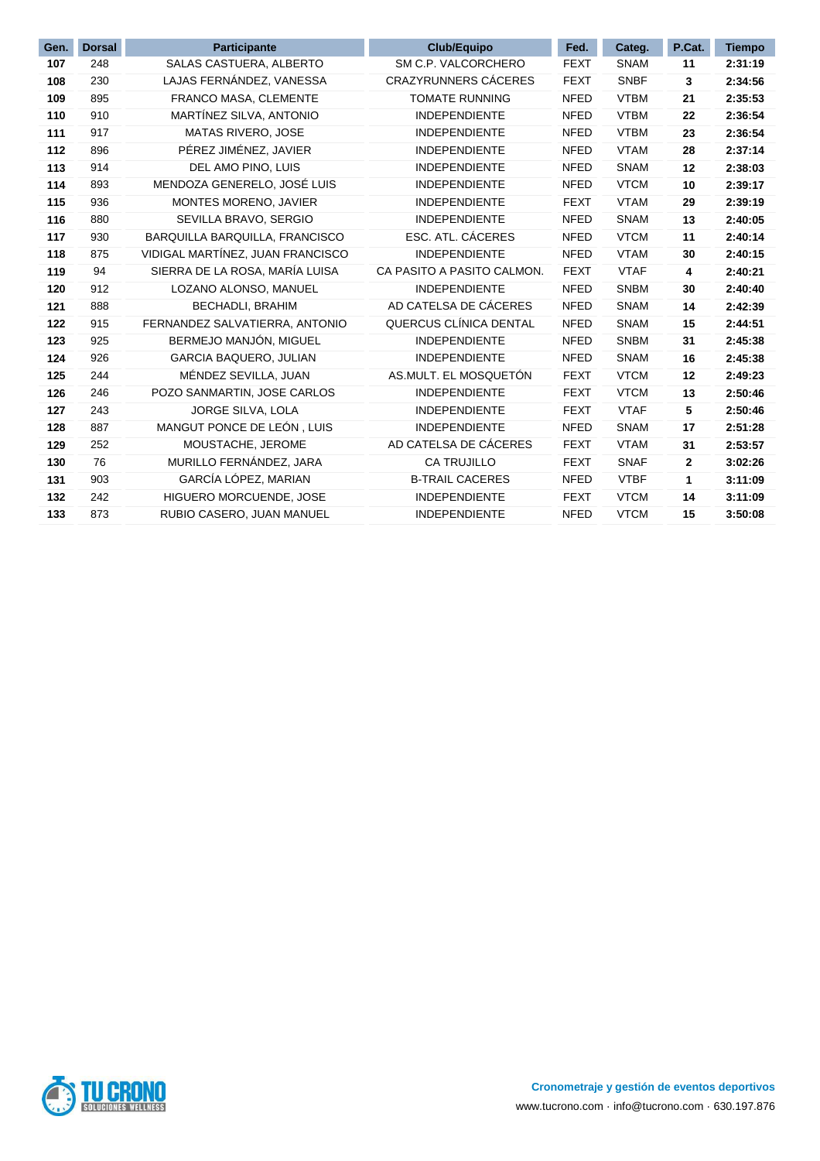| Gen. | <b>Dorsal</b> | <b>Participante</b>              | <b>Club/Equipo</b>          | Fed.        | Categ.      | P.Cat. | <b>Tiempo</b> |
|------|---------------|----------------------------------|-----------------------------|-------------|-------------|--------|---------------|
| 107  | 248           | SALAS CASTUERA, ALBERTO          | SM C.P. VALCORCHERO         | <b>FEXT</b> | <b>SNAM</b> | 11     | 2:31:19       |
| 108  | 230           | LAJAS FERNÁNDEZ, VANESSA         | <b>CRAZYRUNNERS CÁCERES</b> | <b>FEXT</b> | <b>SNBF</b> | 3      | 2:34:56       |
| 109  | 895           | FRANCO MASA, CLEMENTE            | <b>TOMATE RUNNING</b>       | <b>NFED</b> | <b>VTBM</b> | 21     | 2:35:53       |
| 110  | 910           | MARTÍNEZ SILVA, ANTONIO          | <b>INDEPENDIENTE</b>        | <b>NFED</b> | <b>VTBM</b> | 22     | 2:36:54       |
| 111  | 917           | MATAS RIVERO, JOSE               | <b>INDEPENDIENTE</b>        | <b>NFED</b> | <b>VTBM</b> | 23     | 2:36:54       |
| 112  | 896           | PÉREZ JIMÉNEZ, JAVIER            | <b>INDEPENDIENTE</b>        | <b>NFED</b> | <b>VTAM</b> | 28     | 2:37:14       |
| 113  | 914           | DEL AMO PINO, LUIS               | <b>INDEPENDIENTE</b>        | <b>NFED</b> | <b>SNAM</b> | 12     | 2:38:03       |
| 114  | 893           | MENDOZA GENERELO, JOSÉ LUIS      | <b>INDEPENDIENTE</b>        | <b>NFED</b> | <b>VTCM</b> | 10     | 2:39:17       |
| 115  | 936           | MONTES MORENO, JAVIER            | <b>INDEPENDIENTE</b>        | <b>FEXT</b> | <b>VTAM</b> | 29     | 2:39:19       |
| 116  | 880           | SEVILLA BRAVO, SERGIO            | <b>INDEPENDIENTE</b>        | <b>NFED</b> | <b>SNAM</b> | 13     | 2:40:05       |
| 117  | 930           | BARQUILLA BARQUILLA, FRANCISCO   | ESC. ATL. CÁCERES           | <b>NFED</b> | <b>VTCM</b> | 11     | 2:40:14       |
| 118  | 875           | VIDIGAL MARTÍNEZ, JUAN FRANCISCO | <b>INDEPENDIENTE</b>        | <b>NFED</b> | <b>VTAM</b> | 30     | 2:40:15       |
| 119  | 94            | SIERRA DE LA ROSA, MARÍA LUISA   | CA PASITO A PASITO CALMON.  | <b>FEXT</b> | <b>VTAF</b> | 4      | 2:40:21       |
| 120  | 912           | LOZANO ALONSO, MANUEL            | <b>INDEPENDIENTE</b>        | <b>NFED</b> | <b>SNBM</b> | 30     | 2:40:40       |
| 121  | 888           | <b>BECHADLI, BRAHIM</b>          | AD CATELSA DE CÁCERES       | <b>NFED</b> | <b>SNAM</b> | 14     | 2:42:39       |
| 122  | 915           | FERNANDEZ SALVATIERRA, ANTONIO   | QUERCUS CLÍNICA DENTAL      | <b>NFED</b> | <b>SNAM</b> | 15     | 2:44:51       |
| 123  | 925           | BERMEJO MANJÓN, MIGUEL           | <b>INDEPENDIENTE</b>        | <b>NFED</b> | <b>SNBM</b> | 31     | 2:45:38       |
| 124  | 926           | <b>GARCIA BAQUERO, JULIAN</b>    | <b>INDEPENDIENTE</b>        | <b>NFED</b> | <b>SNAM</b> | 16     | 2:45:38       |
| 125  | 244           | MÉNDEZ SEVILLA, JUAN             | AS.MULT. EL MOSQUETÓN       | <b>FEXT</b> | <b>VTCM</b> | 12     | 2:49:23       |
| 126  | 246           | POZO SANMARTIN, JOSE CARLOS      | <b>INDEPENDIENTE</b>        | <b>FEXT</b> | <b>VTCM</b> | 13     | 2:50:46       |
| 127  | 243           | JORGE SILVA, LOLA                | <b>INDEPENDIENTE</b>        | <b>FEXT</b> | <b>VTAF</b> | 5      | 2:50:46       |
| 128  | 887           | MANGUT PONCE DE LEÓN, LUIS       | <b>INDEPENDIENTE</b>        | <b>NFED</b> | <b>SNAM</b> | 17     | 2:51:28       |
| 129  | 252           | MOUSTACHE, JEROME                | AD CATELSA DE CÁCERES       | <b>FEXT</b> | <b>VTAM</b> | 31     | 2:53:57       |
| 130  | 76            | MURILLO FERNÁNDEZ, JARA          | CA TRUJILLO                 | <b>FEXT</b> | <b>SNAF</b> | 2      | 3:02:26       |
| 131  | 903           | GARCÍA LÓPEZ, MARIAN             | <b>B-TRAIL CACERES</b>      | <b>NFED</b> | <b>VTBF</b> | 1      | 3:11:09       |
| 132  | 242           | HIGUERO MORCUENDE, JOSE          | <b>INDEPENDIENTE</b>        | <b>FEXT</b> | <b>VTCM</b> | 14     | 3:11:09       |
| 133  | 873           | RUBIO CASERO, JUAN MANUEL        | <b>INDEPENDIENTE</b>        | <b>NFED</b> | <b>VTCM</b> | 15     | 3:50:08       |

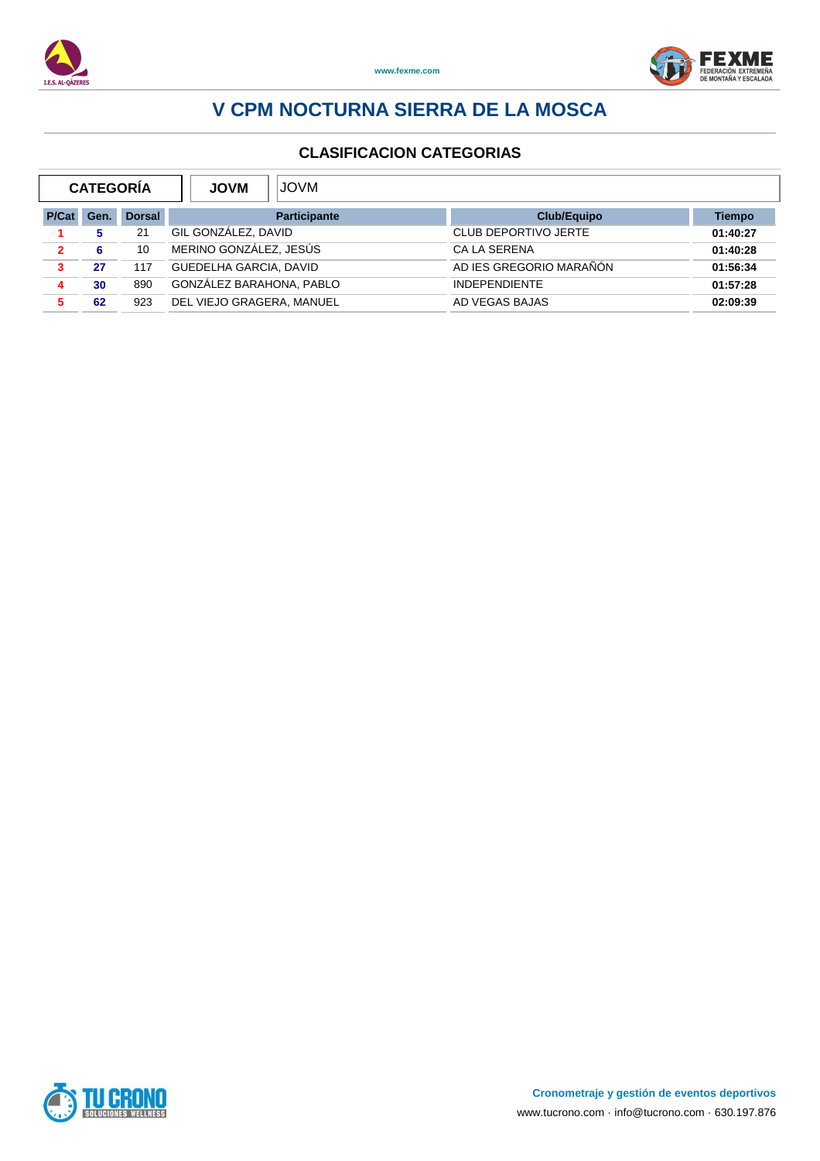



| <b>CATEGORÍA</b> |      |               | <b>MVOL</b><br><b>JOVM</b> |                             |          |  |  |
|------------------|------|---------------|----------------------------|-----------------------------|----------|--|--|
| P/Cat            | Gen. | <b>Dorsal</b> | <b>Participante</b>        | <b>Club/Equipo</b>          | Tiempo   |  |  |
|                  |      | 21            | GIL GONZALEZ, DAVID        | <b>CLUB DEPORTIVO JERTE</b> | 01:40:27 |  |  |
| $\mathbf{2}$     | 6    | 10            | MERINO GONZÁLEZ, JESÚS     | <b>CALA SERENA</b>          | 01:40:28 |  |  |
| 3                | 27   | 117           | GUEDELHA GARCIA, DAVID     | AD IES GREGORIO MARAÑÓN     | 01:56:34 |  |  |
| 4                | 30   | 890           | GONZÁLEZ BARAHONA. PABLO   | <b>INDEPENDIENTE</b>        | 01:57:28 |  |  |
|                  | 62   | 923           | DEL VIEJO GRAGERA, MANUEL  | AD VEGAS BAJAS              | 02:09:39 |  |  |

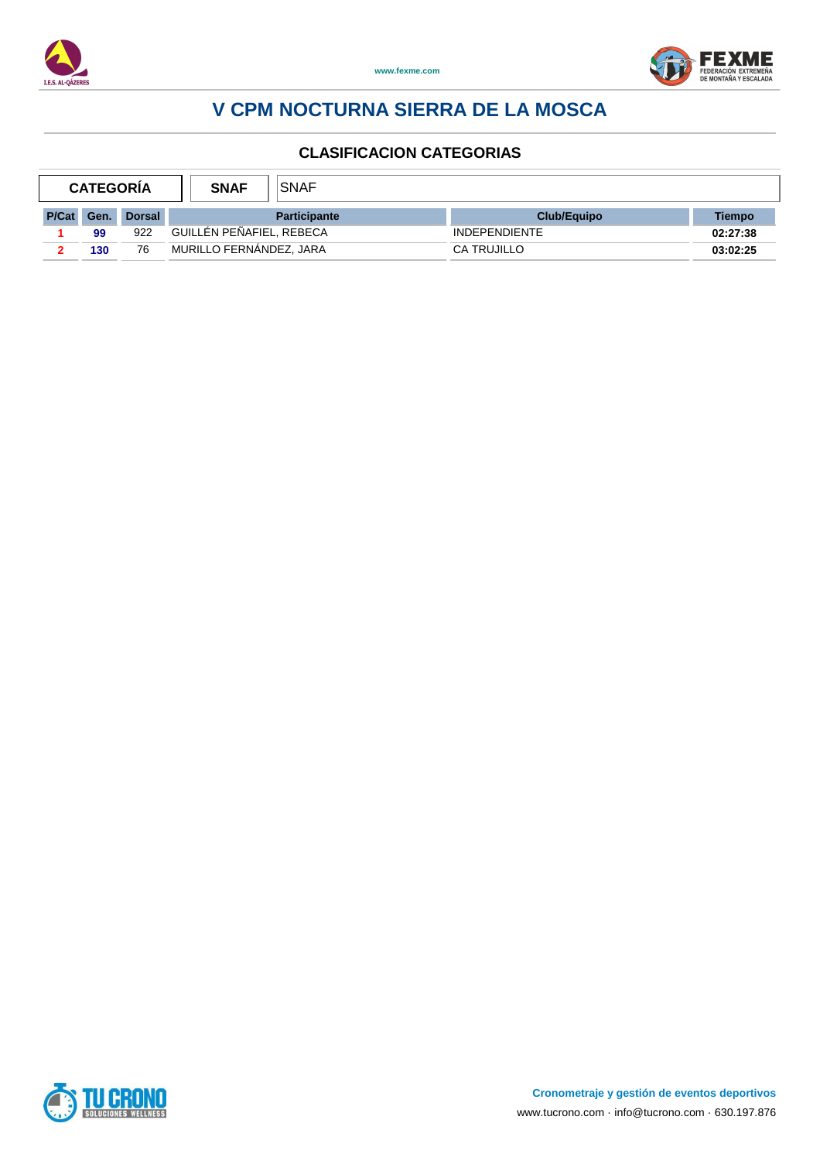



| <b>CATEGORÍA</b> |     | <b>SNAF</b>   | SNAF                     |                     |                      |          |
|------------------|-----|---------------|--------------------------|---------------------|----------------------|----------|
| <b>P/Cat</b>     | Gen | <b>Dorsal</b> |                          | <b>Participante</b> | <b>Club/Equipo</b>   | Tiempo   |
|                  | 99  | 922           | GUILLÉN PEÑAFIEL, REBECA |                     | <b>INDEPENDIENTE</b> | 02:27:38 |
|                  | 130 | 76            | MURILLO FERNANDEZ, JARA  |                     | CA TRUJILLO          | 03:02:25 |

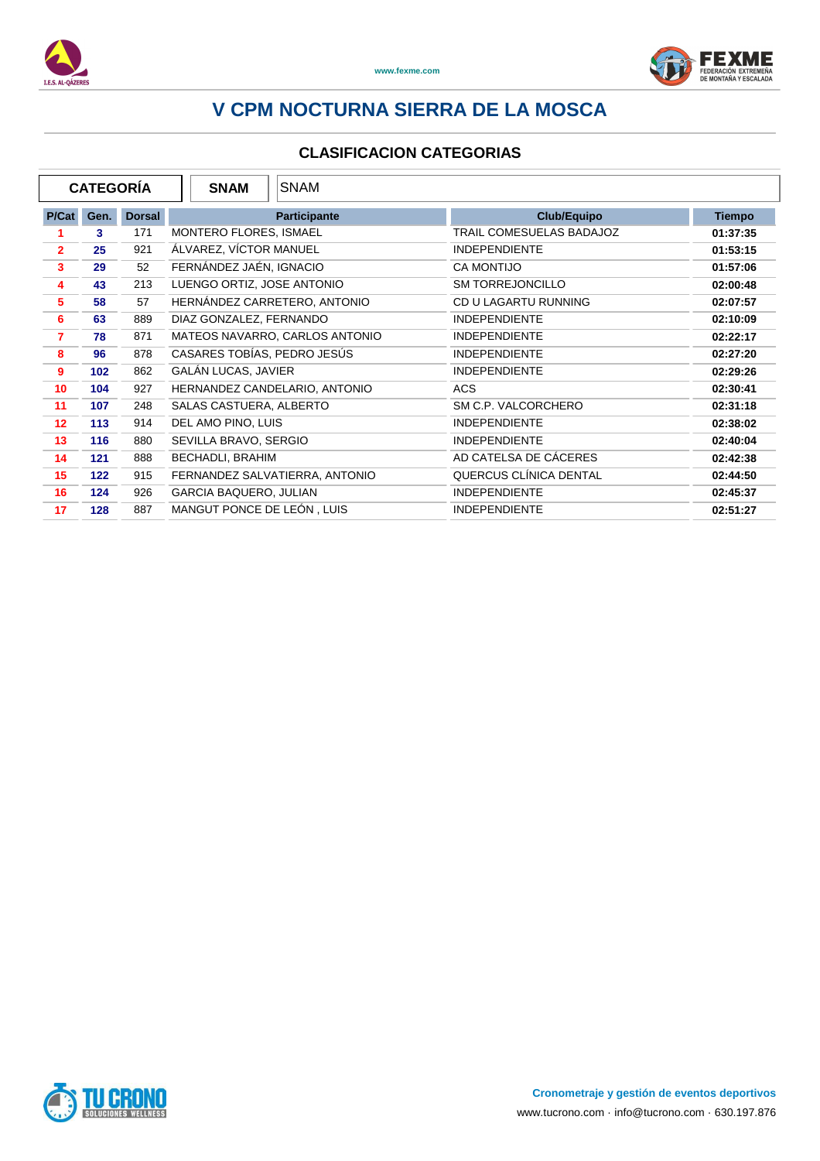



|                         | <b>CATEGORÍA</b> |               | <b>SNAM</b>                   | <b>SNAM</b>                    |                          |               |
|-------------------------|------------------|---------------|-------------------------------|--------------------------------|--------------------------|---------------|
| P/Cat                   | Gen.             | <b>Dorsal</b> |                               | <b>Participante</b>            | <b>Club/Equipo</b>       | <b>Tiempo</b> |
|                         | 3                | 171           | MONTERO FLORES, ISMAEL        |                                | TRAIL COMESUELAS BADAJOZ | 01:37:35      |
| $\overline{2}$          | 25               | 921           | ÁLVAREZ, VÍCTOR MANUEL        |                                | <b>INDEPENDIENTE</b>     | 01:53:15      |
| 3                       | 29               | 52            | FERNÁNDEZ JAÉN, IGNACIO       |                                | <b>CA MONTIJO</b>        | 01:57:06      |
| $\overline{\mathbf{4}}$ | 43               | 213           | LUENGO ORTIZ, JOSE ANTONIO    |                                | <b>SM TORREJONCILLO</b>  | 02:00:48      |
| 5                       | 58               | 57            |                               | HERNÁNDEZ CARRETERO, ANTONIO   | CD U LAGARTU RUNNING     | 02:07:57      |
| 6                       | 63               | 889           | DIAZ GONZALEZ, FERNANDO       |                                | <b>INDEPENDIENTE</b>     | 02:10:09      |
| 7                       | 78               | 871           |                               | MATEOS NAVARRO, CARLOS ANTONIO | <b>INDEPENDIENTE</b>     | 02:22:17      |
| 8                       | 96               | 878           | CASARES TOBÍAS, PEDRO JESÚS   |                                | <b>INDEPENDIENTE</b>     | 02:27:20      |
| 9                       | 102              | 862           | <b>GALÁN LUCAS, JAVIER</b>    |                                | <b>INDEPENDIENTE</b>     | 02:29:26      |
| 10                      | 104              | 927           |                               | HERNANDEZ CANDELARIO, ANTONIO  | <b>ACS</b>               | 02:30:41      |
| 11                      | 107              | 248           | SALAS CASTUERA, ALBERTO       |                                | SM C.P. VALCORCHERO      | 02:31:18      |
| 12                      | 113              | 914           | DEL AMO PINO, LUIS            |                                | <b>INDEPENDIENTE</b>     | 02:38:02      |
| 13                      | 116              | 880           | SEVILLA BRAVO, SERGIO         |                                | <b>INDEPENDIENTE</b>     | 02:40:04      |
| 14                      | 121              | 888           | BECHADLI, BRAHIM              |                                | AD CATELSA DE CÁCERES    | 02:42:38      |
| 15                      | 122              | 915           |                               | FERNANDEZ SALVATIERRA, ANTONIO | QUERCUS CLÍNICA DENTAL   | 02:44:50      |
| 16                      | 124              | 926           | <b>GARCIA BAQUERO, JULIAN</b> |                                | <b>INDEPENDIENTE</b>     | 02:45:37      |
| 17                      | 128              | 887           | MANGUT PONCE DE LEÓN, LUIS    |                                | <b>INDEPENDIENTE</b>     | 02:51:27      |

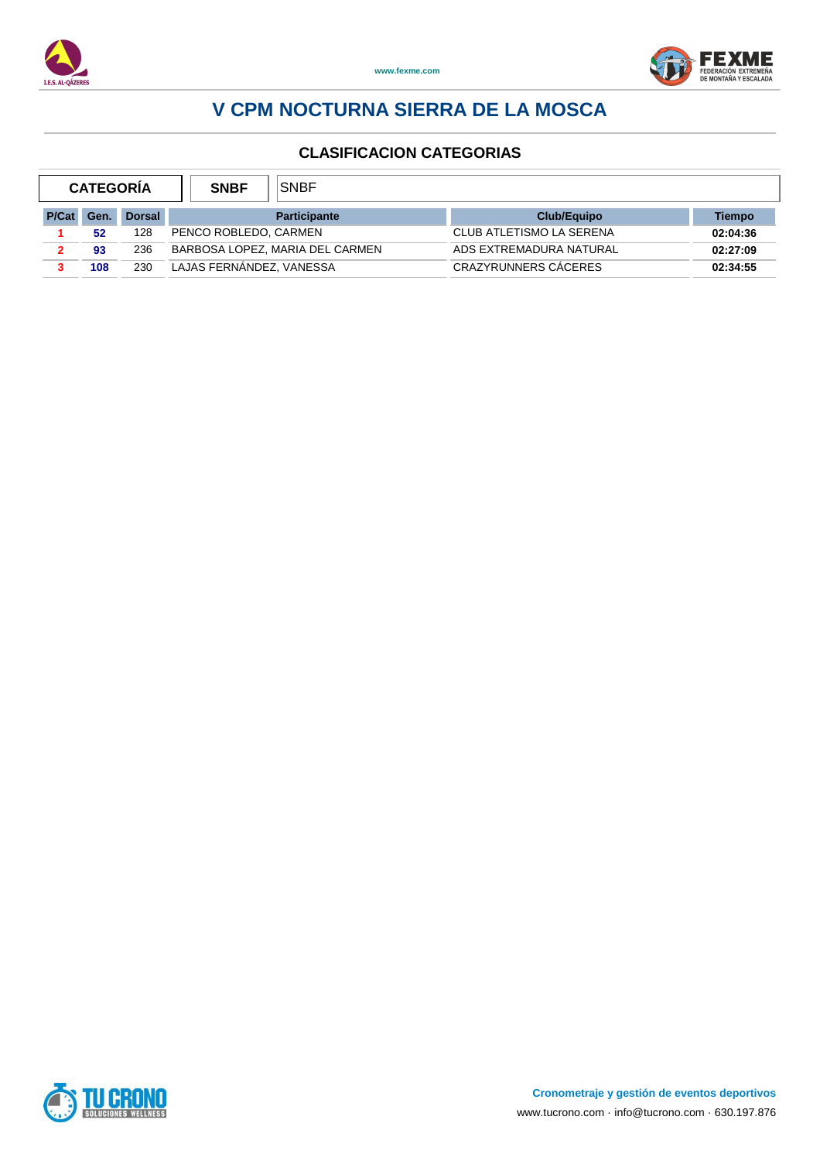



| <b>CATEGORIA</b> |      | <b>SNBF</b>   | SNBF                     |                                 |                          |          |
|------------------|------|---------------|--------------------------|---------------------------------|--------------------------|----------|
| P/Cat            | Gen. | <b>Dorsal</b> |                          | <b>Participante</b>             | <b>Club/Equipo</b>       | Tiempo   |
|                  | 52   | 128           | PENCO ROBLEDO, CARMEN    |                                 | CLUB ATLETISMO LA SERENA | 02:04:36 |
|                  | 93   | 236           |                          | BARBOSA LOPEZ, MARIA DEL CARMEN | ADS EXTREMADURA NATURAL  | 02:27:09 |
|                  | 108  | 230           | LAJAS FERNANDEZ, VANESSA |                                 | CRAZYRUNNERS CACERES     | 02:34:55 |

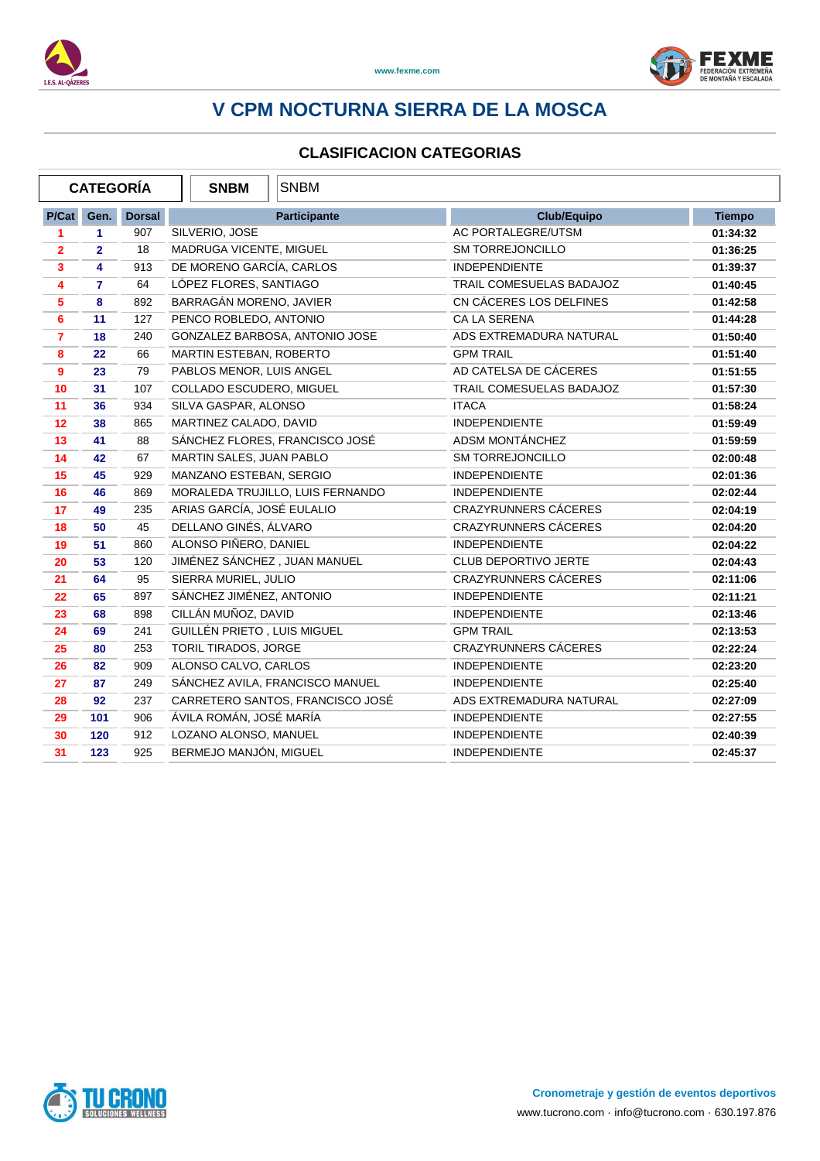



|                | <b>CATEGORÍA</b> |               | <b>SNBM</b>                  | <b>SNBM</b>                      |                             |               |
|----------------|------------------|---------------|------------------------------|----------------------------------|-----------------------------|---------------|
| P/Cat          | Gen.             | <b>Dorsal</b> |                              | <b>Participante</b>              | <b>Club/Equipo</b>          | <b>Tiempo</b> |
| 1              | 1.               | 907           | SILVERIO, JOSE               |                                  | AC PORTALEGRE/UTSM          | 01:34:32      |
| $\overline{2}$ | $\overline{2}$   | 18            | MADRUGA VICENTE, MIGUEL      |                                  | <b>SM TORREJONCILLO</b>     | 01:36:25      |
| 3              | 4                | 913           | DE MORENO GARCÍA, CARLOS     |                                  | <b>INDEPENDIENTE</b>        | 01:39:37      |
| 4              | $\overline{7}$   | 64            | LÓPEZ FLORES, SANTIAGO       |                                  | TRAIL COMESUELAS BADAJOZ    | 01:40:45      |
| 5              | 8                | 892           | BARRAGÁN MORENO, JAVIER      |                                  | CN CÁCERES LOS DELFINES     | 01:42:58      |
| 6              | 11               | 127           | PENCO ROBLEDO, ANTONIO       |                                  | CA LA SERENA                | 01:44:28      |
| $\overline{7}$ | 18               | 240           |                              | GONZALEZ BARBOSA, ANTONIO JOSE   | ADS EXTREMADURA NATURAL     | 01:50:40      |
| 8              | 22               | 66            | MARTIN ESTEBAN, ROBERTO      |                                  | <b>GPM TRAIL</b>            | 01:51:40      |
| 9              | 23               | 79            | PABLOS MENOR, LUIS ANGEL     |                                  | AD CATELSA DE CÁCERES       | 01:51:55      |
| 10             | 31               | 107           | COLLADO ESCUDERO, MIGUEL     |                                  | TRAIL COMESUELAS BADAJOZ    | 01:57:30      |
| 11             | 36               | 934           | SILVA GASPAR, ALONSO         |                                  | <b>ITACA</b>                | 01:58:24      |
| 12             | 38               | 865           | MARTINEZ CALADO, DAVID       |                                  | <b>INDEPENDIENTE</b>        | 01:59:49      |
| 13             | 41               | 88            |                              | SÁNCHEZ FLORES, FRANCISCO JOSÉ   | ADSM MONTÁNCHEZ             | 01:59:59      |
| 14             | 42               | 67            | MARTIN SALES, JUAN PABLO     |                                  | <b>SM TORREJONCILLO</b>     | 02:00:48      |
| 15             | 45               | 929           | MANZANO ESTEBAN, SERGIO      |                                  | <b>INDEPENDIENTE</b>        | 02:01:36      |
| 16             | 46               | 869           |                              | MORALEDA TRUJILLO, LUIS FERNANDO | <b>INDEPENDIENTE</b>        | 02:02:44      |
| 17             | 49               | 235           | ARIAS GARCÍA, JOSÉ EULALIO   |                                  | <b>CRAZYRUNNERS CÁCERES</b> | 02:04:19      |
| 18             | 50               | 45            | DELLANO GINÉS, ÁLVARO        |                                  | <b>CRAZYRUNNERS CÁCERES</b> | 02:04:20      |
| 19             | 51               | 860           | ALONSO PIÑERO, DANIEL        |                                  | <b>INDEPENDIENTE</b>        | 02:04:22      |
| 20             | 53               | 120           | JIMÉNEZ SÁNCHEZ, JUAN MANUEL |                                  | CLUB DEPORTIVO JERTE        | 02:04:43      |
| 21             | 64               | 95            | SIERRA MURIEL, JULIO         |                                  | CRAZYRUNNERS CÁCERES        | 02:11:06      |
| 22             | 65               | 897           | SÁNCHEZ JIMÉNEZ, ANTONIO     |                                  | <b>INDEPENDIENTE</b>        | 02:11:21      |
| 23             | 68               | 898           | CILLÁN MUÑOZ, DAVID          |                                  | <b>INDEPENDIENTE</b>        | 02:13:46      |
| 24             | 69               | 241           | GUILLÉN PRIETO, LUIS MIGUEL  |                                  | <b>GPM TRAIL</b>            | 02:13:53      |
| 25             | 80               | 253           | TORIL TIRADOS, JORGE         |                                  | <b>CRAZYRUNNERS CÁCERES</b> | 02:22:24      |
| 26             | 82               | 909           | ALONSO CALVO, CARLOS         |                                  | <b>INDEPENDIENTE</b>        | 02:23:20      |
| 27             | 87               | 249           |                              | SÁNCHEZ AVILA, FRANCISCO MANUEL  | <b>INDEPENDIENTE</b>        | 02:25:40      |
| 28             | 92               | 237           |                              | CARRETERO SANTOS, FRANCISCO JOSÉ | ADS EXTREMADURA NATURAL     | 02:27:09      |
| 29             | 101              | 906           | ÁVILA ROMÁN, JOSÉ MARÍA      |                                  | <b>INDEPENDIENTE</b>        | 02:27:55      |
| 30             | 120              | 912           | LOZANO ALONSO, MANUEL        |                                  | <b>INDEPENDIENTE</b>        | 02:40:39      |
| 31             | 123              | 925           | BERMEJO MANJÓN, MIGUEL       |                                  | <b>INDEPENDIENTE</b>        | 02:45:37      |

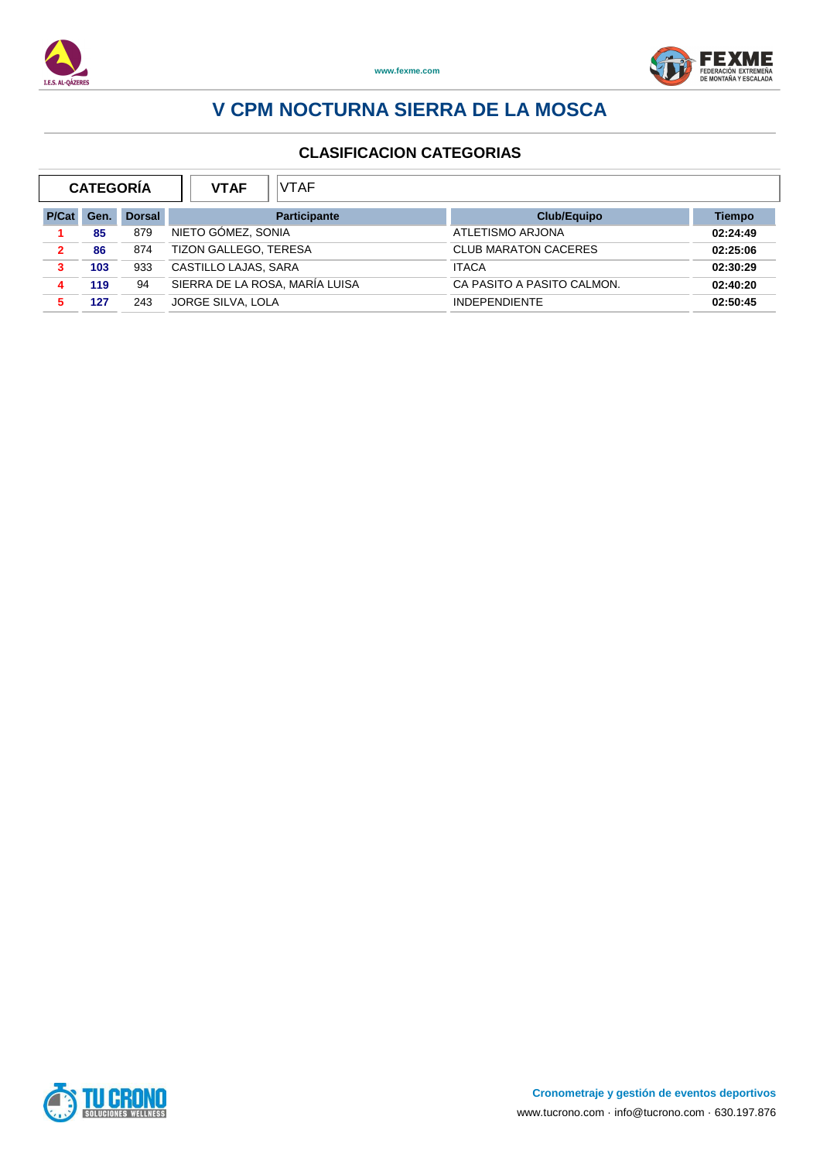



| <b>CATEGORÍA</b> |      |               | <b>VTAF</b><br><b>VTAF</b>     |                             |          |
|------------------|------|---------------|--------------------------------|-----------------------------|----------|
| P/Cat            | Gen. | <b>Dorsal</b> | <b>Participante</b>            | <b>Club/Equipo</b>          | Tiempo   |
|                  | 85   | 879           | NIETO GÓMEZ, SONIA             | ATLETISMO ARJONA            | 02:24:49 |
| 2                | 86   | 874           | <b>TIZON GALLEGO, TERESA</b>   | <b>CLUB MARATON CACERES</b> | 02:25:06 |
| 3                | 103  | 933           | CASTILLO LAJAS, SARA           | <b>ITACA</b>                | 02:30:29 |
|                  | 119  | 94            | SIERRA DE LA ROSA, MARÍA LUISA | CA PASITO A PASITO CALMON.  | 02:40:20 |
|                  | 127  | 243           | JORGE SILVA, LOLA              | <b>INDEPENDIENTE</b>        | 02:50:45 |

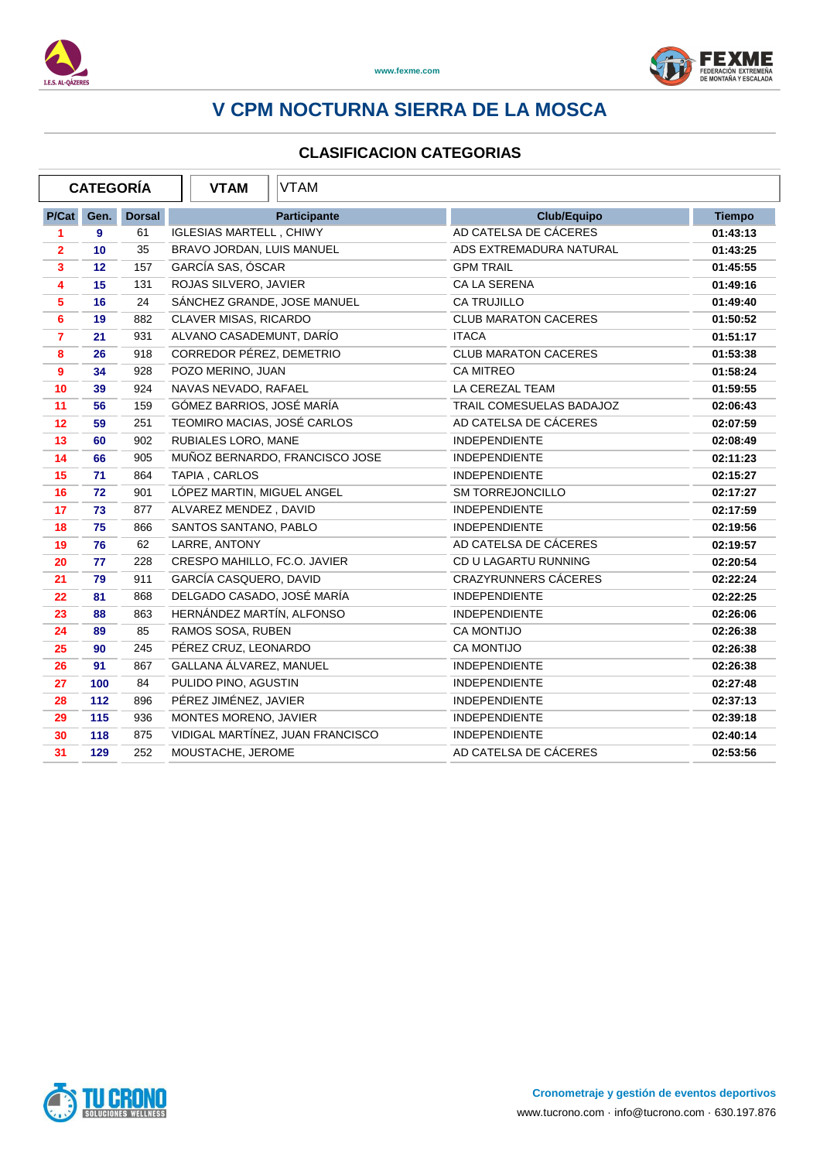



|                | <b>CATEGORÍA</b>  |               | <b>VTAM</b>                    | <b>VTAM</b>                      |                             |               |
|----------------|-------------------|---------------|--------------------------------|----------------------------------|-----------------------------|---------------|
| P/Cat          | Gen.              | <b>Dorsal</b> |                                | <b>Participante</b>              | <b>Club/Equipo</b>          | <b>Tiempo</b> |
| 1              | 9                 | 61            | <b>IGLESIAS MARTELL, CHIWY</b> |                                  | AD CATELSA DE CÁCERES       | 01:43:13      |
| $\mathbf{2}$   | 10                | 35            | BRAVO JORDAN, LUIS MANUEL      |                                  | ADS EXTREMADURA NATURAL     | 01:43:25      |
| $\mathbf{3}$   | $12 \overline{ }$ | 157           | GARCÍA SAS, ÓSCAR              |                                  | <b>GPM TRAIL</b>            | 01:45:55      |
| 4              | 15                | 131           | ROJAS SILVERO, JAVIER          |                                  | CA LA SERENA                | 01:49:16      |
| 5              | 16                | 24            | SÁNCHEZ GRANDE, JOSE MANUEL    |                                  | CA TRUJILLO                 | 01:49:40      |
| 6              | 19                | 882           | CLAVER MISAS, RICARDO          |                                  | <b>CLUB MARATON CACERES</b> | 01:50:52      |
| $\overline{7}$ | 21                | 931           | ALVANO CASADEMUNT, DARÍO       |                                  | <b>ITACA</b>                | 01:51:17      |
| 8              | 26                | 918           | CORREDOR PÉREZ, DEMETRIO       |                                  | <b>CLUB MARATON CACERES</b> | 01:53:38      |
| $\mathbf{9}$   | 34                | 928           | POZO MERINO, JUAN              |                                  | CA MITREO                   | 01:58:24      |
| 10             | 39                | 924           | NAVAS NEVADO, RAFAEL           |                                  | LA CEREZAL TEAM             | 01:59:55      |
| 11             | 56                | 159           | GÓMEZ BARRIOS, JOSÉ MARÍA      |                                  | TRAIL COMESUELAS BADAJOZ    | 02:06:43      |
| 12             | 59                | 251           | TEOMIRO MACIAS, JOSÉ CARLOS    |                                  | AD CATELSA DE CÁCERES       | 02:07:59      |
| 13             | 60                | 902           | RUBIALES LORO, MANE            |                                  | <b>INDEPENDIENTE</b>        | 02:08:49      |
| 14             | 66                | 905           |                                | MUÑOZ BERNARDO, FRANCISCO JOSE   | <b>INDEPENDIENTE</b>        | 02:11:23      |
| 15             | 71                | 864           | TAPIA, CARLOS                  |                                  | <b>INDEPENDIENTE</b>        | 02:15:27      |
| 16             | 72                | 901           | LÓPEZ MARTIN, MIGUEL ANGEL     |                                  | <b>SM TORREJONCILLO</b>     | 02:17:27      |
| 17             | 73                | 877           | ALVAREZ MENDEZ, DAVID          |                                  | <b>INDEPENDIENTE</b>        | 02:17:59      |
| 18             | 75                | 866           | SANTOS SANTANO, PABLO          |                                  | <b>INDEPENDIENTE</b>        | 02:19:56      |
| 19             | 76                | 62            | LARRE, ANTONY                  |                                  | AD CATELSA DE CÁCERES       | 02:19:57      |
| 20             | 77                | 228           | CRESPO MAHILLO, FC.O. JAVIER   |                                  | CD U LAGARTU RUNNING        | 02:20:54      |
| 21             | 79                | 911           | GARCÍA CASQUERO, DAVID         |                                  | <b>CRAZYRUNNERS CÁCERES</b> | 02:22:24      |
| 22             | 81                | 868           | DELGADO CASADO, JOSÉ MARÍA     |                                  | <b>INDEPENDIENTE</b>        | 02:22:25      |
| 23             | 88                | 863           | HERNÁNDEZ MARTÍN, ALFONSO      |                                  | <b>INDEPENDIENTE</b>        | 02:26:06      |
| 24             | 89                | 85            | RAMOS SOSA, RUBEN              |                                  | <b>CA MONTIJO</b>           | 02:26:38      |
| 25             | 90                | 245           | PÉREZ CRUZ, LEONARDO           |                                  | CA MONTIJO                  | 02:26:38      |
| 26             | 91                | 867           | GALLANA ÁLVAREZ, MANUEL        |                                  | <b>INDEPENDIENTE</b>        | 02:26:38      |
| 27             | 100               | 84            | PULIDO PINO, AGUSTIN           |                                  | <b>INDEPENDIENTE</b>        | 02:27:48      |
| 28             | 112               | 896           | PÉREZ JIMÉNEZ, JAVIER          |                                  | <b>INDEPENDIENTE</b>        | 02:37:13      |
| 29             | 115               | 936           | MONTES MORENO, JAVIER          |                                  | <b>INDEPENDIENTE</b>        | 02:39:18      |
| 30             | 118               | 875           |                                | VIDIGAL MARTÍNEZ, JUAN FRANCISCO | <b>INDEPENDIENTE</b>        | 02:40:14      |
| 31             | 129               | 252           | MOUSTACHE, JEROME              |                                  | AD CATELSA DE CÁCERES       | 02:53:56      |

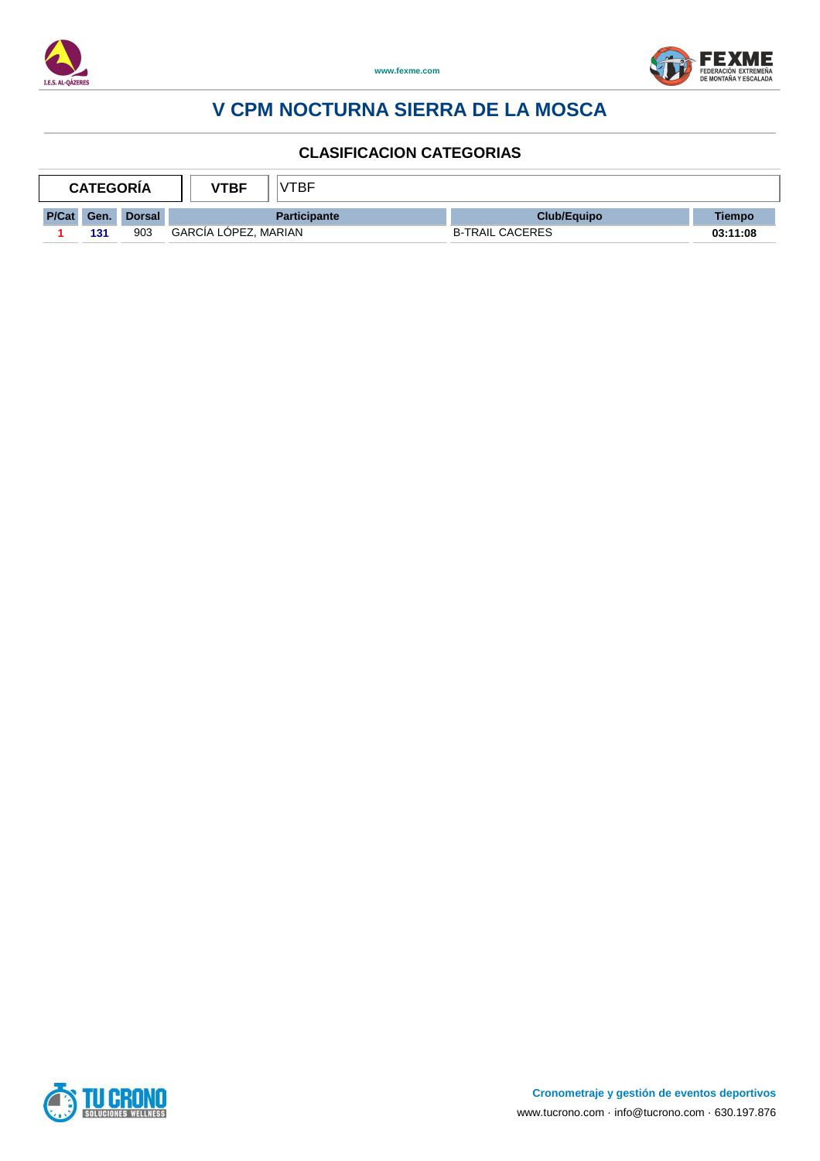



| <b>CATEGORIA</b> |      | <b>VTBF</b>   | /TBF                 |                     |                        |          |
|------------------|------|---------------|----------------------|---------------------|------------------------|----------|
| P/Cat            | Gen. | <b>Dorsal</b> |                      | <b>Participante</b> | <b>Club/Equipo</b>     | Tiempo   |
|                  | 131  | 903           | GARCÍA LÓPEZ, MARIAN |                     | <b>B-TRAIL CACERES</b> | 03:11:08 |

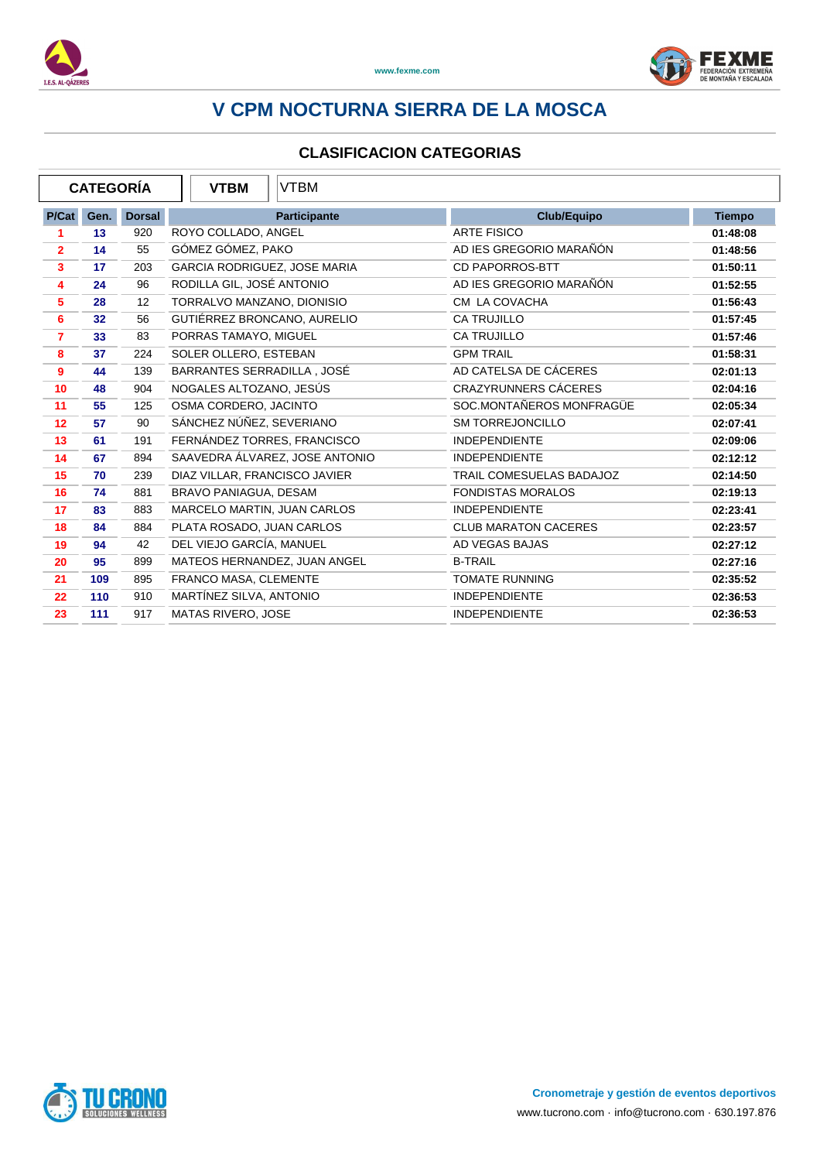



| <b>CATEGORÍA</b> |                 |               | <b>VTBM</b><br><b>VTBM</b>     |                             |               |
|------------------|-----------------|---------------|--------------------------------|-----------------------------|---------------|
| P/Cat            | Gen.            | <b>Dorsal</b> | <b>Participante</b>            | Club/Equipo                 | <b>Tiempo</b> |
|                  | 13              | 920           | ROYO COLLADO, ANGEL            | <b>ARTE FISICO</b>          | 01:48:08      |
| $\overline{2}$   | 14              | 55            | GÓMEZ GÓMEZ, PAKO              | AD IES GREGORIO MARAÑÓN     | 01:48:56      |
| $\mathbf{3}$     | 17              | 203           | GARCIA RODRIGUEZ, JOSE MARIA   | <b>CD PAPORROS-BTT</b>      | 01:50:11      |
| 4                | 24              | 96            | RODILLA GIL, JOSÉ ANTONIO      | AD IES GREGORIO MARAÑÓN     | 01:52:55      |
| $\sqrt{5}$       | 28              | 12            | TORRALVO MANZANO, DIONISIO     | CM LA COVACHA               | 01:56:43      |
| 6                | 32 <sub>2</sub> | 56            | GUTIÉRREZ BRONCANO, AURELIO    | <b>CA TRUJILLO</b>          | 01:57:45      |
| $\overline{7}$   | 33              | 83            | PORRAS TAMAYO, MIGUEL          | CA TRUJILLO                 | 01:57:46      |
| 8                | 37              | 224           | SOLER OLLERO, ESTEBAN          | <b>GPM TRAIL</b>            | 01:58:31      |
| 9                | 44              | 139           | BARRANTES SERRADILLA, JOSÉ     | AD CATELSA DE CÁCERES       | 02:01:13      |
| 10               | 48              | 904           | NOGALES ALTOZANO, JESÚS        | <b>CRAZYRUNNERS CÁCERES</b> | 02:04:16      |
| 11               | 55              | 125           | OSMA CORDERO, JACINTO          | SOC.MONTAÑEROS MONFRAGÜE    | 02:05:34      |
| 12               | 57              | 90            | SÁNCHEZ NÚÑEZ, SEVERIANO       | <b>SM TORREJONCILLO</b>     | 02:07:41      |
| 13               | 61              | 191           | FERNÁNDEZ TORRES, FRANCISCO    | <b>INDEPENDIENTE</b>        | 02:09:06      |
| 14               | 67              | 894           | SAAVEDRA ÁLVAREZ, JOSE ANTONIO | <b>INDEPENDIENTE</b>        | 02:12:12      |
| 15               | 70              | 239           | DIAZ VILLAR, FRANCISCO JAVIER  | TRAIL COMESUELAS BADAJOZ    | 02:14:50      |
| 16               | 74              | 881           | BRAVO PANIAGUA, DESAM          | <b>FONDISTAS MORALOS</b>    | 02:19:13      |
| 17               | 83              | 883           | MARCELO MARTIN, JUAN CARLOS    | <b>INDEPENDIENTE</b>        | 02:23:41      |
| 18               | 84              | 884           | PLATA ROSADO, JUAN CARLOS      | <b>CLUB MARATON CACERES</b> | 02:23:57      |
| 19               | 94              | 42            | DEL VIEJO GARCÍA, MANUEL       | AD VEGAS BAJAS              | 02:27:12      |
| 20               | 95              | 899           | MATEOS HERNANDEZ, JUAN ANGEL   | <b>B-TRAIL</b>              | 02:27:16      |
| 21               | 109             | 895           | FRANCO MASA, CLEMENTE          | <b>TOMATE RUNNING</b>       | 02:35:52      |
| 22               | 110             | 910           | MARTÍNEZ SILVA, ANTONIO        | <b>INDEPENDIENTE</b>        | 02:36:53      |
| 23               | 111             | 917           | MATAS RIVERO, JOSE             | <b>INDEPENDIENTE</b>        | 02:36:53      |